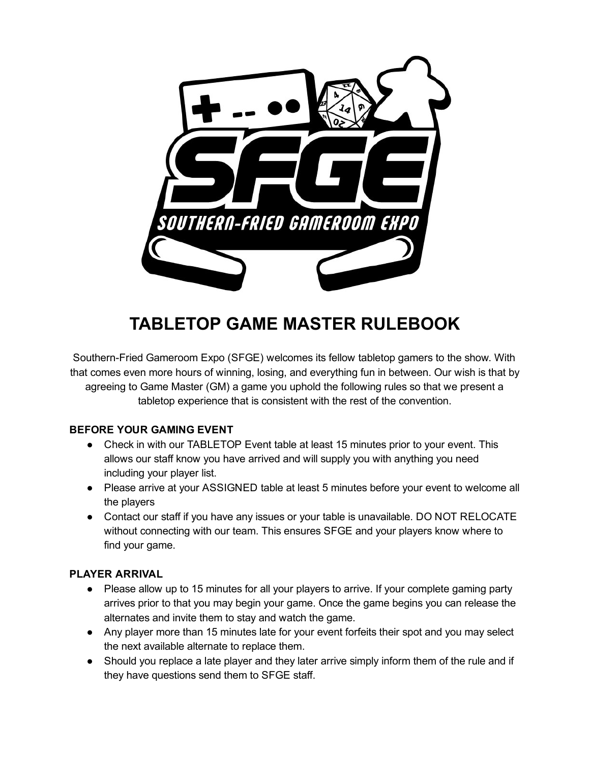

# TABLETOP GAME MASTER RULEBOOK

Southern-Fried Gameroom Expo (SFGE) welcomes its fellow tabletop gamers to the show. With that comes even more hours of winning, losing, and everything fun in between. Our wish is that by agreeing to Game Master (GM) a game you uphold the following rules so that we present a tabletop experience that is consistent with the rest of the convention.

# BEFORE YOUR GAMING EVENT

- Check in with our TABLETOP Event table at least 15 minutes prior to your event. This allows our staff know you have arrived and will supply you with anything you need including your player list.
- Please arrive at your ASSIGNED table at least 5 minutes before your event to welcome all the players
- Contact our staff if you have any issues or your table is unavailable. DO NOT RELOCATE without connecting with our team. This ensures SFGE and your players know where to find your game.

# PLAYER ARRIVAL

- Please allow up to 15 minutes for all your players to arrive. If your complete gaming party arrives prior to that you may begin your game. Once the game begins you can release the alternates and invite them to stay and watch the game.
- Any player more than 15 minutes late for your event forfeits their spot and you may select the next available alternate to replace them.
- Should you replace a late player and they later arrive simply inform them of the rule and if they have questions send them to SFGE staff.